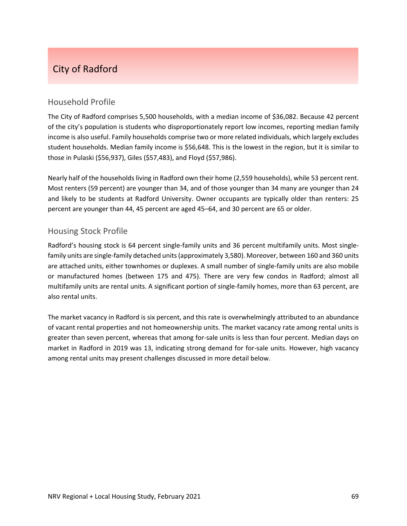# City of Radford

# Household Profile

The City of Radford comprises 5,500 households, with a median income of \$36,082. Because 42 percent of the city's population is students who disproportionately report low incomes, reporting median family income is also useful. Family households comprise two or more related individuals, which largely excludes student households. Median family income is \$56,648. This is the lowest in the region, but it is similar to those in Pulaski (\$56,937), Giles (\$57,483), and Floyd (\$57,986).

Nearly half of the households living in Radford own their home (2,559 households), while 53 percent rent. Most renters (59 percent) are younger than 34, and of those younger than 34 many are younger than 24 and likely to be students at Radford University. Owner occupants are typically older than renters: 25 percent are younger than 44, 45 percent are aged 45–64, and 30 percent are 65 or older.

# Housing Stock Profile

Radford's housing stock is 64 percent single-family units and 36 percent multifamily units. Most singlefamily units are single‐family detached units(approximately 3,580). Moreover, between 160 and 360 units are attached units, either townhomes or duplexes. A small number of single‐family units are also mobile or manufactured homes (between 175 and 475). There are very few condos in Radford; almost all multifamily units are rental units. A significant portion of single‐family homes, more than 63 percent, are also rental units.

The market vacancy in Radford is six percent, and this rate is overwhelmingly attributed to an abundance of vacant rental properties and not homeownership units. The market vacancy rate among rental units is greater than seven percent, whereas that among for‐sale units is less than four percent. Median days on market in Radford in 2019 was 13, indicating strong demand for for-sale units. However, high vacancy among rental units may present challenges discussed in more detail below.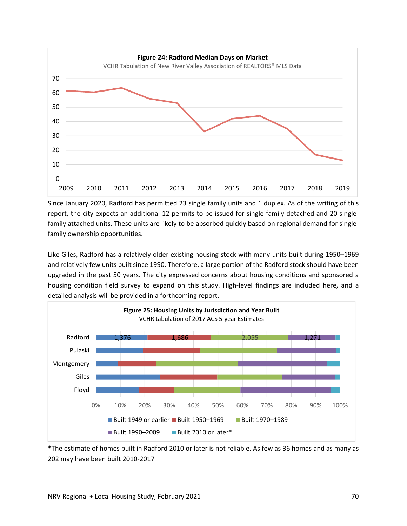

Since January 2020, Radford has permitted 23 single family units and 1 duplex. As of the writing of this report, the city expects an additional 12 permits to be issued for single-family detached and 20 singlefamily attached units. These units are likely to be absorbed quickly based on regional demand for single‐ family ownership opportunities.

Like Giles, Radford has a relatively older existing housing stock with many units built during 1950–1969 and relatively few units built since 1990. Therefore, a large portion of the Radford stock should have been upgraded in the past 50 years. The city expressed concerns about housing conditions and sponsored a housing condition field survey to expand on this study. High-level findings are included here, and a detailed analysis will be provided in a forthcoming report.



\*The estimate of homes built in Radford 2010 or later is not reliable. As few as 36 homes and as many as 202 may have been built 2010‐2017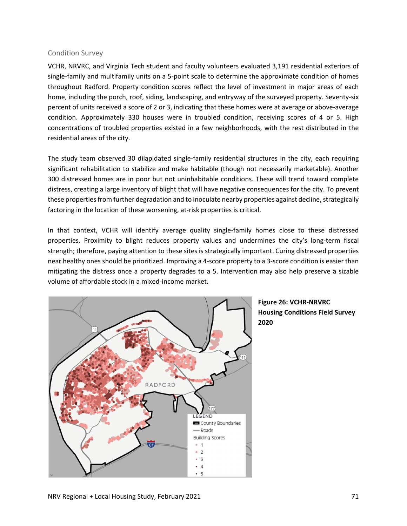#### Condition Survey

VCHR, NRVRC, and Virginia Tech student and faculty volunteers evaluated 3,191 residential exteriors of single-family and multifamily units on a 5-point scale to determine the approximate condition of homes throughout Radford. Property condition scores reflect the level of investment in major areas of each home, including the porch, roof, siding, landscaping, and entryway of the surveyed property. Seventy‐six percent of units received a score of 2 or 3, indicating that these homes were at average or above-average condition. Approximately 330 houses were in troubled condition, receiving scores of 4 or 5. High concentrations of troubled properties existed in a few neighborhoods, with the rest distributed in the residential areas of the city.

The study team observed 30 dilapidated single‐family residential structures in the city, each requiring significant rehabilitation to stabilize and make habitable (though not necessarily marketable). Another 300 distressed homes are in poor but not uninhabitable conditions. These will trend toward complete distress, creating a large inventory of blight that will have negative consequences for the city. To prevent these properties from further degradation and to inoculate nearby properties against decline, strategically factoring in the location of these worsening, at-risk properties is critical.

In that context, VCHR will identify average quality single‐family homes close to these distressed properties. Proximity to blight reduces property values and undermines the city's long-term fiscal strength; therefore, paying attention to these sites is strategically important. Curing distressed properties near healthy ones should be prioritized. Improving a 4‐score property to a 3‐score condition is easier than mitigating the distress once a property degrades to a 5. Intervention may also help preserve a sizable volume of affordable stock in a mixed‐income market.



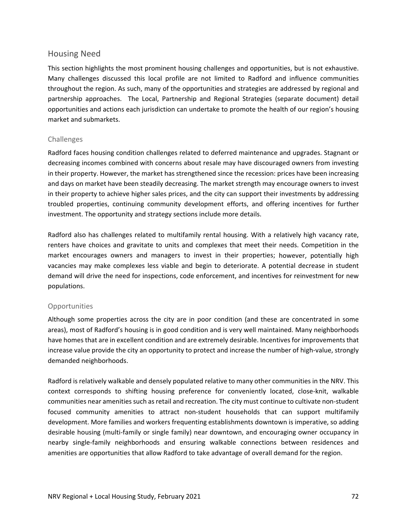## Housing Need

This section highlights the most prominent housing challenges and opportunities, but is not exhaustive. Many challenges discussed this local profile are not limited to Radford and influence communities throughout the region. As such, many of the opportunities and strategies are addressed by regional and partnership approaches. The Local, Partnership and Regional Strategies (separate document) detail opportunities and actions each jurisdiction can undertake to promote the health of our region's housing market and submarkets.

### Challenges

Radford faces housing condition challenges related to deferred maintenance and upgrades. Stagnant or decreasing incomes combined with concerns about resale may have discouraged owners from investing in their property. However, the market has strengthened since the recession: prices have been increasing and days on market have been steadily decreasing. The market strength may encourage owners to invest in their property to achieve higher sales prices, and the city can support their investments by addressing troubled properties, continuing community development efforts, and offering incentives for further investment. The opportunity and strategy sections include more details.

Radford also has challenges related to multifamily rental housing. With a relatively high vacancy rate, renters have choices and gravitate to units and complexes that meet their needs. Competition in the market encourages owners and managers to invest in their properties; however, potentially high vacancies may make complexes less viable and begin to deteriorate. A potential decrease in student demand will drive the need for inspections, code enforcement, and incentives for reinvestment for new populations.

## Opportunities

Although some properties across the city are in poor condition (and these are concentrated in some areas), most of Radford's housing is in good condition and is very well maintained. Many neighborhoods have homes that are in excellent condition and are extremely desirable. Incentives for improvements that increase value provide the city an opportunity to protect and increase the number of high-value, strongly demanded neighborhoods.

Radford is relatively walkable and densely populated relative to many other communities in the NRV. This context corresponds to shifting housing preference for conveniently located, close-knit, walkable communities near amenities such as retail and recreation. The city must continue to cultivate non-student focused community amenities to attract non-student households that can support multifamily development. More families and workers frequenting establishments downtown is imperative, so adding desirable housing (multi‐family or single family) near downtown, and encouraging owner occupancy in nearby single‐family neighborhoods and ensuring walkable connections between residences and amenities are opportunities that allow Radford to take advantage of overall demand for the region.